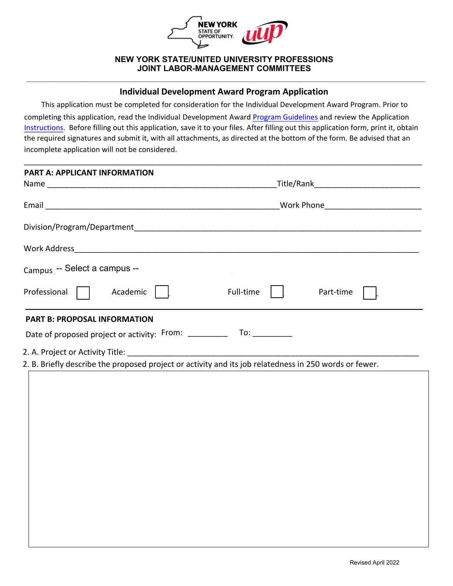

### **NEW YORK STATE/UNITED UNIVERSITY PROFESSIONS JOINT LABOR-MANAGEMENT COMMITTEES**

# **\_\_\_\_\_\_\_\_\_\_\_\_\_\_\_\_\_\_\_\_\_\_\_\_\_\_\_\_\_\_\_\_\_\_\_\_\_\_\_\_\_\_\_\_\_\_\_\_\_\_\_\_\_\_\_\_\_\_\_\_\_\_\_\_\_\_\_\_\_\_\_\_\_\_\_\_\_\_\_\_\_\_\_\_\_\_\_\_ Individual Development Award Program Application**

This application must be completed for consideration for the Individual Development Award Program. Prior to completing this application, read the Individual Development Award [Program Guidelines](https://oer.ny.gov/individual-development-award-program-guidelines) and review the Application [Instructions.](https://oer.ny.gov/instructions-completing-fillable-pdf-application) Before filling out this application, save it to your files. After filling out this application form, print it, obtain the required signatures and submit it, with all attachments, as directed at the bottom of the form. Be advised that an incomplete application will not be considered.

\_\_\_\_\_\_\_\_\_\_\_\_\_\_\_\_\_\_\_\_\_\_\_\_\_\_\_\_\_\_\_\_\_\_\_\_\_\_\_\_\_\_\_\_\_\_\_\_\_\_\_\_\_\_\_\_\_\_\_\_\_\_\_\_\_\_\_\_\_\_\_\_\_\_\_\_\_\_\_\_\_\_\_\_\_\_\_\_\_\_

| <b>PART A: APPLICANT INFORMATION</b>                                                                   |                                       |  |  |  |  |  |  |
|--------------------------------------------------------------------------------------------------------|---------------------------------------|--|--|--|--|--|--|
|                                                                                                        |                                       |  |  |  |  |  |  |
|                                                                                                        | Work Phone___________________________ |  |  |  |  |  |  |
|                                                                                                        |                                       |  |  |  |  |  |  |
|                                                                                                        |                                       |  |  |  |  |  |  |
| Campus -- Select a campus --                                                                           |                                       |  |  |  |  |  |  |
| Professional<br>Academic                                                                               | Full-time<br>Part-time                |  |  |  |  |  |  |
| <b>PART B: PROPOSAL INFORMATION</b>                                                                    |                                       |  |  |  |  |  |  |
|                                                                                                        |                                       |  |  |  |  |  |  |
|                                                                                                        |                                       |  |  |  |  |  |  |
| 2. B. Briefly describe the proposed project or activity and its job relatedness in 250 words or fewer. |                                       |  |  |  |  |  |  |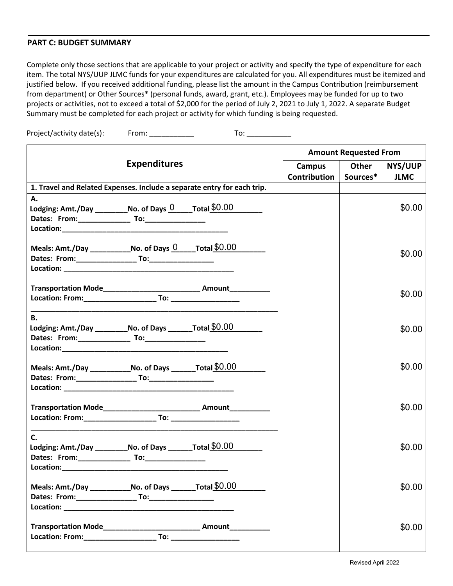#### **PART C: BUDGET SUMMARY**

Complete only those sections that are applicable to your project or activity and specify the type of expenditure for each item. The total NYS/UUP JLMC funds for your expenditures are calculated for you. All expenditures must be itemized and justified below. If you received additional funding, please list the amount in the Campus Contribution (reimbursement from department) or Other Sources\* (personal funds, award, grant, etc.). Employees may be funded for up to two projects or activities, not to exceed a total of \$2,000 for the period of July 2, 2021 to July 1, 2022. A separate Budget Summary must be completed for each project or activity for which funding is being requested.

Project/activity date(s): From: \_\_\_\_\_\_\_\_\_\_\_\_ To: \_\_\_\_\_\_\_\_\_\_\_

| <b>Expenditures</b>                                                        |  | <b>Amount Requested From</b> |                         |         |             |
|----------------------------------------------------------------------------|--|------------------------------|-------------------------|---------|-------------|
|                                                                            |  | Campus                       | Other                   | NYS/UUP |             |
|                                                                            |  |                              | Contribution   Sources* |         | <b>JLMC</b> |
| 1. Travel and Related Expenses. Include a separate entry for each trip.    |  |                              |                         |         |             |
| А.                                                                         |  |                              |                         |         |             |
| Lodging: Amt./Day ___________ No. of Days 0 _____ Total \$0.00             |  |                              |                         |         | \$0.00      |
|                                                                            |  |                              |                         |         |             |
|                                                                            |  |                              |                         |         |             |
| Meals: Amt./Day _______________No. of Days $0$ _____ Total \$0.00          |  |                              |                         |         |             |
|                                                                            |  |                              |                         |         | \$0.00      |
|                                                                            |  |                              |                         |         |             |
|                                                                            |  |                              |                         |         |             |
|                                                                            |  |                              |                         |         | \$0.00      |
|                                                                            |  |                              |                         |         |             |
|                                                                            |  |                              |                         |         |             |
| В.<br>Lodging: Amt./Day ___________No. of Days ________ Total $$0.00$      |  |                              |                         |         | \$0.00      |
|                                                                            |  |                              |                         |         |             |
|                                                                            |  |                              |                         |         |             |
|                                                                            |  |                              |                         |         |             |
| Meals: Amt./Day _______________No. of Days _________ Total $$0.00$         |  |                              |                         |         | \$0.00      |
|                                                                            |  |                              |                         |         |             |
|                                                                            |  |                              |                         |         |             |
| Transportation Mode__________________________________ Amount______________ |  |                              |                         |         | \$0.00      |
|                                                                            |  |                              |                         |         |             |
|                                                                            |  |                              |                         |         |             |
| $\mathsf{C}$ .                                                             |  |                              |                         |         |             |
| Lodging: Amt./Day ____________No. of Days _________Total \$0.00            |  |                              |                         |         | \$0.00      |
|                                                                            |  |                              |                         |         |             |
|                                                                            |  |                              |                         |         |             |
|                                                                            |  |                              |                         |         | \$0.00      |
|                                                                            |  |                              |                         |         |             |
|                                                                            |  |                              |                         |         |             |
| Transportation Mode_________________________________ Amount_____________   |  |                              |                         |         |             |
|                                                                            |  |                              |                         |         | \$0.00      |
|                                                                            |  |                              |                         |         |             |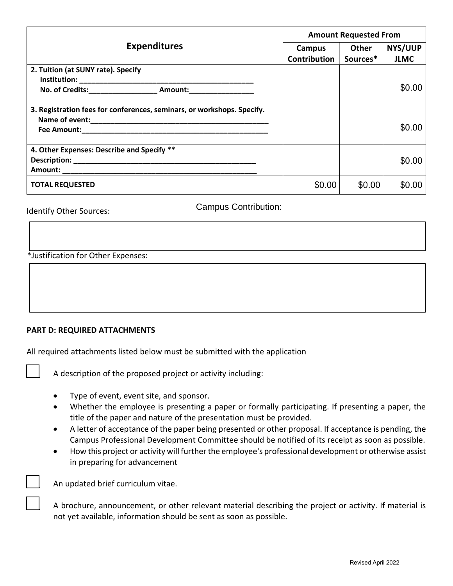|                                                                        | <b>Amount Requested From</b> |          |             |  |
|------------------------------------------------------------------------|------------------------------|----------|-------------|--|
| <b>Expenditures</b>                                                    | Campus                       | Other    | NYS/UUP     |  |
|                                                                        | Contribution                 | Sources* | <b>JLMC</b> |  |
| 2. Tuition (at SUNY rate). Specify                                     |                              |          |             |  |
|                                                                        |                              |          | \$0.00      |  |
| 3. Registration fees for conferences, seminars, or workshops. Specify. |                              |          |             |  |
|                                                                        |                              |          |             |  |
|                                                                        |                              |          | \$0.00      |  |
| 4. Other Expenses: Describe and Specify **                             |                              |          |             |  |
|                                                                        |                              |          | \$0.00      |  |
|                                                                        |                              |          |             |  |
| <b>TOTAL REQUESTED</b>                                                 | \$0.00                       | \$0.00   | \$0.00      |  |

Identify Other Sources:

Campus Contribution:

\*Justification for Other Expenses:

## **PART D: REQUIRED ATTACHMENTS**

All required attachments listed below must be submitted with the application

A description of the proposed project or activity including:

- Type of event, event site, and sponsor.
- Whether the employee is presenting a paper or formally participating. If presenting a paper, the title of the paper and nature of the presentation must be provided.
- A letter of acceptance of the paper being presented or other proposal. If acceptance is pending, the Campus Professional Development Committee should be notified of its receipt as soon as possible.
- How this project or activity will further the employee's professional development or otherwise assist in preparing for advancement

An updated brief curriculum vitae.

A brochure, announcement, or other relevant material describing the project or activity. If material is not yet available, information should be sent as soon as possible.